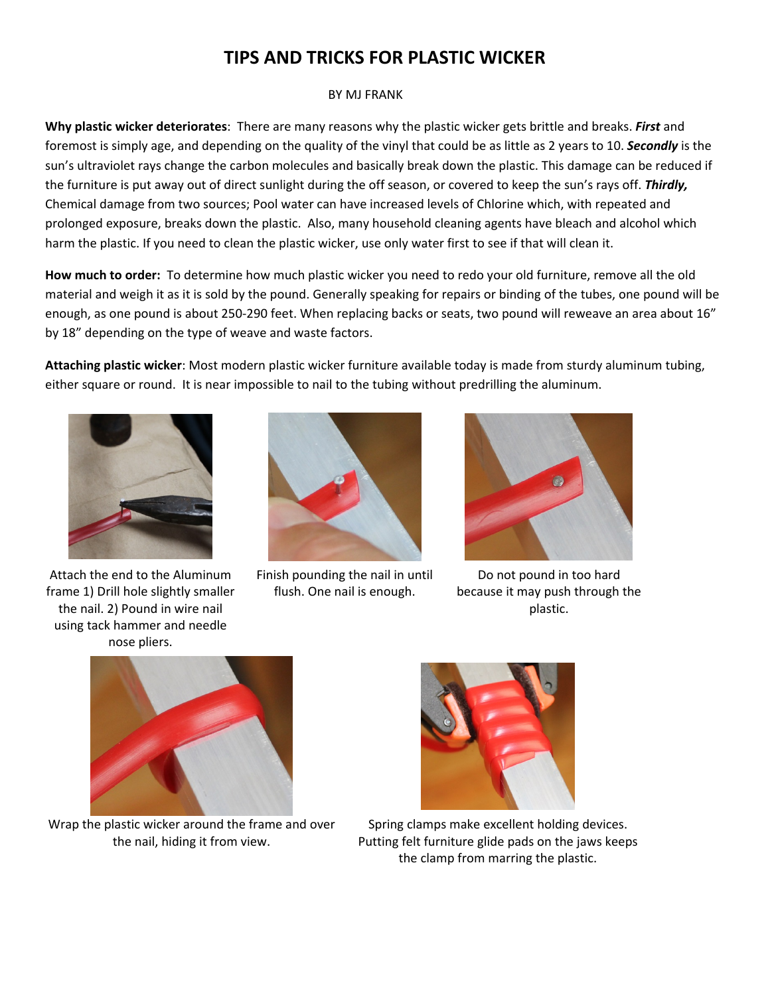## **TIPS AND TRICKS FOR PLASTIC WICKER**

## BY MJ FRANK

**Why plastic wicker deteriorates**: There are many reasons why the plastic wicker gets brittle and breaks. *First* and foremost is simply age, and depending on the quality of the vinyl that could be as little as 2 years to 10. *Secondly* is the sun's ultraviolet rays change the carbon molecules and basically break down the plastic. This damage can be reduced if the furniture is put away out of direct sunlight during the off season, or covered to keep the sun's rays off. *Thirdly,* Chemical damage from two sources; Pool water can have increased levels of Chlorine which, with repeated and prolonged exposure, breaks down the plastic. Also, many household cleaning agents have bleach and alcohol which harm the plastic. If you need to clean the plastic wicker, use only water first to see if that will clean it.

**How much to order:** To determine how much plastic wicker you need to redo your old furniture, remove all the old material and weigh it as it is sold by the pound. Generally speaking for repairs or binding of the tubes, one pound will be enough, as one pound is about 250-290 feet. When replacing backs or seats, two pound will reweave an area about 16" by 18" depending on the type of weave and waste factors.

**Attaching plastic wicker**: Most modern plastic wicker furniture available today is made from sturdy aluminum tubing, either square or round. It is near impossible to nail to the tubing without predrilling the aluminum.



Attach the end to the Aluminum frame 1) Drill hole slightly smaller the nail. 2) Pound in wire nail using tack hammer and needle nose pliers.



Finish pounding the nail in until flush. One nail is enough.



Do not pound in too hard because it may push through the plastic.



Wrap the plastic wicker around the frame and over the nail, hiding it from view.



Spring clamps make excellent holding devices. Putting felt furniture glide pads on the jaws keeps the clamp from marring the plastic.